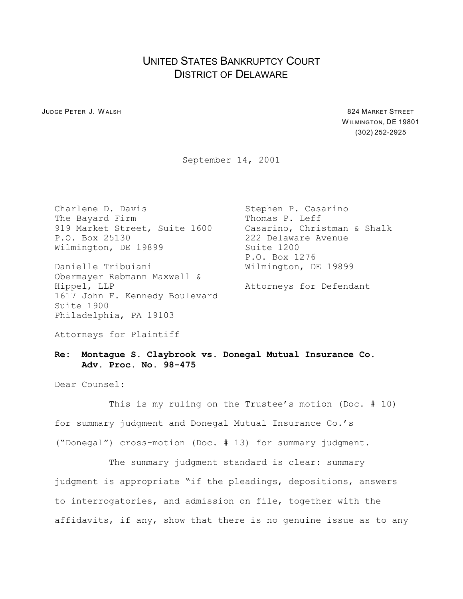## UNITED STATES BANKRUPTCY COURT DISTRICT OF DELAWARE

**JUDGE PETER J. WALSH 824 MARKET STREET** 

W ILMINGTON, DE 19801 (302) 252-2925

September 14, 2001

The Bayard Firm Thomas P. Leff 919 Market Street, Suite 1600 Casarino, Christman & Shalk P.O. Box 25130 222 Delaware Avenue Wilmington, DE 19899 Suite 1200

Danielle Tribuiani Wilmington, DE 19899 Obermayer Rebmann Maxwell & Hippel, LLP **Attorneys** for Defendant 1617 John F. Kennedy Boulevard Suite 1900 Philadelphia, PA 19103

Charlene D. Davis Stephen P. Casarino P.O. Box 1276

Attorneys for Plaintiff

## **Re: Montague S. Claybrook vs. Donegal Mutual Insurance Co. Adv. Proc. No. 98-475**

Dear Counsel:

This is my ruling on the Trustee's motion (Doc. # 10) for summary judgment and Donegal Mutual Insurance Co.'s ("Donegal") cross-motion (Doc. # 13) for summary judgment.

The summary judgment standard is clear: summary judgment is appropriate "if the pleadings, depositions, answers to interrogatories, and admission on file, together with the affidavits, if any, show that there is no genuine issue as to any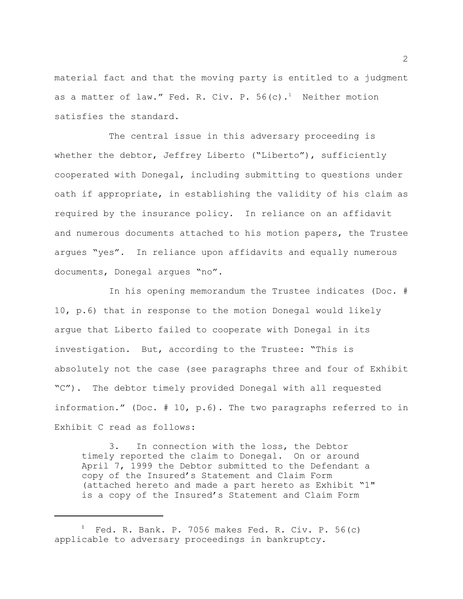material fact and that the moving party is entitled to a judgment as a matter of law." Fed. R. Civ. P.  $56(c)$ .<sup>1</sup> Neither motion satisfies the standard.

The central issue in this adversary proceeding is whether the debtor, Jeffrey Liberto ("Liberto"), sufficiently cooperated with Donegal, including submitting to questions under oath if appropriate, in establishing the validity of his claim as required by the insurance policy. In reliance on an affidavit and numerous documents attached to his motion papers, the Trustee argues "yes". In reliance upon affidavits and equally numerous documents, Donegal argues "no".

In his opening memorandum the Trustee indicates (Doc. # 10, p.6) that in response to the motion Donegal would likely argue that Liberto failed to cooperate with Donegal in its investigation. But, according to the Trustee: "This is absolutely not the case (see paragraphs three and four of Exhibit "C"). The debtor timely provided Donegal with all requested information." (Doc. # 10, p.6). The two paragraphs referred to in Exhibit C read as follows:

3. In connection with the loss, the Debtor timely reported the claim to Donegal. On or around April 7, 1999 the Debtor submitted to the Defendant a copy of the Insured's Statement and Claim Form (attached hereto and made a part hereto as Exhibit "1" is a copy of the Insured's Statement and Claim Form

 $^1$  Fed. R. Bank. P. 7056 makes Fed. R. Civ. P. 56(c) applicable to adversary proceedings in bankruptcy.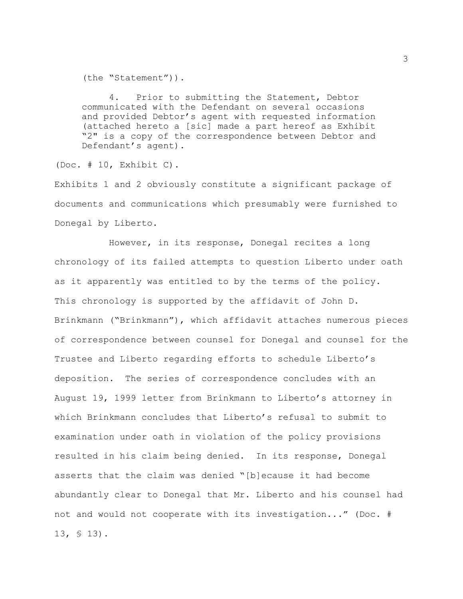(the "Statement")).

4. Prior to submitting the Statement, Debtor communicated with the Defendant on several occasions and provided Debtor's agent with requested information (attached hereto a [sic] made a part hereof as Exhibit "2" is a copy of the correspondence between Debtor and Defendant's agent).

(Doc. # 10, Exhibit C).

Exhibits 1 and 2 obviously constitute a significant package of documents and communications which presumably were furnished to Donegal by Liberto.

However, in its response, Donegal recites a long chronology of its failed attempts to question Liberto under oath as it apparently was entitled to by the terms of the policy. This chronology is supported by the affidavit of John D. Brinkmann ("Brinkmann"), which affidavit attaches numerous pieces of correspondence between counsel for Donegal and counsel for the Trustee and Liberto regarding efforts to schedule Liberto's deposition. The series of correspondence concludes with an August 19, 1999 letter from Brinkmann to Liberto's attorney in which Brinkmann concludes that Liberto's refusal to submit to examination under oath in violation of the policy provisions resulted in his claim being denied. In its response, Donegal asserts that the claim was denied "[b]ecause it had become abundantly clear to Donegal that Mr. Liberto and his counsel had not and would not cooperate with its investigation..." (Doc. # 13, § 13).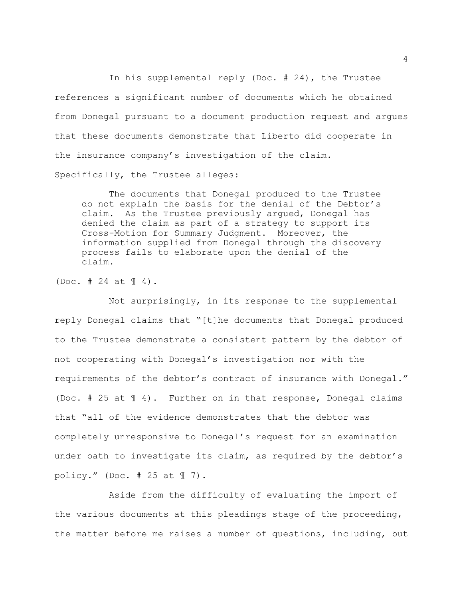In his supplemental reply (Doc. # 24), the Trustee references a significant number of documents which he obtained from Donegal pursuant to a document production request and argues that these documents demonstrate that Liberto did cooperate in the insurance company's investigation of the claim. Specifically, the Trustee alleges:

The documents that Donegal produced to the Trustee do not explain the basis for the denial of the Debtor's claim. As the Trustee previously argued, Donegal has denied the claim as part of a strategy to support its Cross-Motion for Summary Judgment. Moreover, the information supplied from Donegal through the discovery process fails to elaborate upon the denial of the claim.

(Doc.  $\#$  24 at  $\P$  4).

Not surprisingly, in its response to the supplemental reply Donegal claims that "[t]he documents that Donegal produced to the Trustee demonstrate a consistent pattern by the debtor of not cooperating with Donegal's investigation nor with the requirements of the debtor's contract of insurance with Donegal." (Doc. # 25 at ¶ 4). Further on in that response, Donegal claims that "all of the evidence demonstrates that the debtor was completely unresponsive to Donegal's request for an examination under oath to investigate its claim, as required by the debtor's policy." (Doc.  $# 25$  at  $\mathbb{I}$  7).

Aside from the difficulty of evaluating the import of the various documents at this pleadings stage of the proceeding, the matter before me raises a number of questions, including, but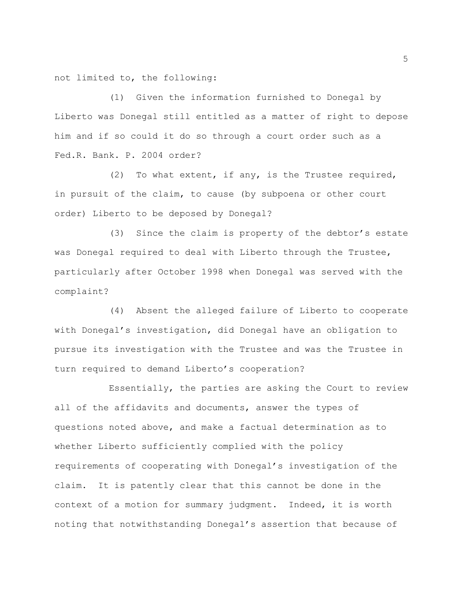not limited to, the following:

(1) Given the information furnished to Donegal by Liberto was Donegal still entitled as a matter of right to depose him and if so could it do so through a court order such as a Fed.R. Bank. P. 2004 order?

(2) To what extent, if any, is the Trustee required, in pursuit of the claim, to cause (by subpoena or other court order) Liberto to be deposed by Donegal?

(3) Since the claim is property of the debtor's estate was Donegal required to deal with Liberto through the Trustee, particularly after October 1998 when Donegal was served with the complaint?

(4) Absent the alleged failure of Liberto to cooperate with Donegal's investigation, did Donegal have an obligation to pursue its investigation with the Trustee and was the Trustee in turn required to demand Liberto's cooperation?

Essentially, the parties are asking the Court to review all of the affidavits and documents, answer the types of questions noted above, and make a factual determination as to whether Liberto sufficiently complied with the policy requirements of cooperating with Donegal's investigation of the claim. It is patently clear that this cannot be done in the context of a motion for summary judgment. Indeed, it is worth noting that notwithstanding Donegal's assertion that because of